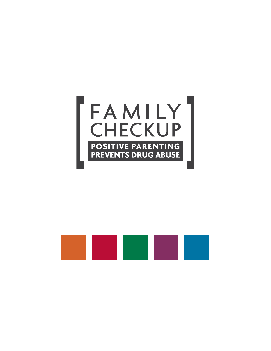

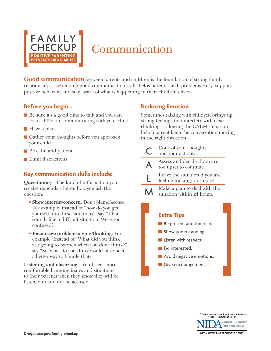

## Communication

**Good communication** between parents and children is the foundation of strong family relationships. Developing good communication skills helps parents catch problems early, support positive behavior, and stay aware of what is happening in their children's lives.

### **Before you begin…**

- Be sure it's a good time to talk and you can focus 100% on communicating with your child
- Have a plan
- Gather your thoughts before you approach your child
- Be calm and patient
- **Limit distractions**

### **Key communication skills include:**

**Questioning**—The kind of information you receive depends a lot on how you ask the question.

- **Show interest/concern**. Don't blame/accuse. For example, instead of "how do you get yourself into these situations!" say "That sounds like a difficult situation. Were you confused?"
- **Encourage problemsolving/thinking**. For example: Instead of "What did you think was going to happen when you don't think?" say "So, what do you think would have been a better way to handle that?"

**Listening and observing**—Youth feel more comfortable bringing issues and situations to their parents when they know they will be listened to and not be accused.

### **Reducing Emotion**

Sometimes talking with children brings up strong feelings that interfere with clear thinking. Following the CALM steps can help a parent keep the conversation moving in the right direction.

| Control your thoughts<br>and your actions.                                                                                                                        |
|-------------------------------------------------------------------------------------------------------------------------------------------------------------------|
| Assess and decide if you are<br>too upset to continue.                                                                                                            |
| Leave the situation if you are<br>feeling too angry or upset.                                                                                                     |
| Make a plan to deal with the<br>situation within 24 hours.                                                                                                        |
| <b>Extra Tips</b><br>Be present and tuned in.<br>Show understanding.<br>Listen with respect.<br>Be interested.<br>Avoid negative emotions.<br>Give encouragement. |

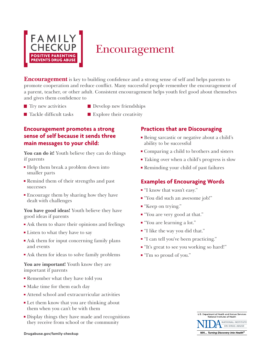

## Encouragement

**Encouragement** is key to building confidence and a strong sense of self and helps parents to promote cooperation and reduce conflict. Many successful people remember the encouragement of a parent, teacher, or other adult. Consistent encouragement helps youth feel good about themselves and gives them confidence to

- 
- **The Try new activities** Develop new friendships
- 
- $\blacksquare$  Tackle difficult tasks  $\blacksquare$  Explore their creativity

### **Encouragement promotes a strong sense of self because it sends three main messages to your child:**

**You can do it!** Youth believe they can do things if parents

- Help them break a problem down into smaller parts
- **Remind them of their strengths and past** successes
- Encourage them by sharing how they have dealt with challenges

**You have good ideas!** Youth believe they have good ideas if parents

- Ask them to share their opinions and feelings
- Listen to what they have to say
- Ask them for input concerning family plans and events
- Ask them for ideas to solve family problems

**You are important!** Youth know they are important if parents

- **Remember what they have told you**
- Make time for them each day
- Attend school and extracurricular activities
- Let them know that you are thinking about them when you can't be with them
- Display things they have made and recognitions they receive from school or the community

### **Practices that are Discouraging**

- Being sarcastic or negative about a child's ability to be successful
- Comparing a child to brothers and sisters
- Taking over when a child's progress is slow
- Reminding your child of past failures

## **Examples of Encouraging Words**

- "I know that wasn't easy."
- "You did such an awesome job!"
- "Keep on trying."
- "You are very good at that."
- "You are learning a lot."
- "I like the way you did that."
- **I** "I can tell you've been practicing."
- "It's great to see you working so hard!"
- "I'm so proud of you."

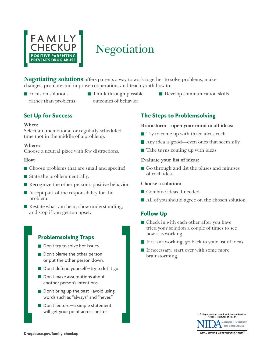

# **Negotiation**

**Negotiating solutions** offers parents a way to work together to solve problems, make changes, promote and improve cooperation, and teach youth how to:

- 
- Focus on solutions Think through possible Develop communication skills rather than problems outcomes of behavior
- **Set Up for Success**

#### **When:**

Select an unemotional or regularly scheduled time (not in the middle of a problem).

### **Where:**

Choose a neutral place with few distractions.

### **How:**

- Choose problems that are small and specific!
- State the problem neutrally.
- Recognize the other person's positive behavior.
- Accept part of the responsibility for the problem.
- $\blacksquare$  Restate what you hear, show understanding, and stop if you get too upset.

## **Problemsolving Traps**

- Don't try to solve hot issues.
- Don't blame the other person or put the other person down.
- Don't defend yourself—try to let it go.
- Don't make assumptions about another person's intentions.
- Don't bring up the past—avoid using words such as "always" and "never."
- Don't lecture—a simple statement will get your point across better.

## **The Steps to Problemsolving**

### **Brainstorm—open your mind to all ideas:**

- $\blacksquare$  Try to come up with three ideas each.
- Any idea is good—even ones that seem silly.
- Take turns coming up with ideas.

### **Evaluate your list of ideas:**

Go through and list the pluses and minuses of each idea.

### **Choose a solution:**

- Combine ideas if needed.
- All of you should agree on the chosen solution.

## **Follow Up**

- Check in with each other after you have tried your solution a couple of times to see how it is working.
- $\blacksquare$  If it isn't working, go back to your list of ideas.
- If necessary, start over with some more brainstorming.

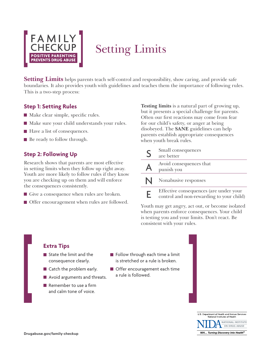

# Setting Limits

**Setting Limits** helps parents teach self-control and responsibility, show caring, and provide safe boundaries. It also provides youth with guidelines and teaches them the importance of following rules. This is a two-step process:

### **Step 1: Setting Rules**

- Make clear simple, specific rules.
- Make sure your child understands your rules.
- Have a list of consequences.
- Be ready to follow through.

## **Step 2: Following Up**

Research shows that parents are most effective in setting limits when they follow up right away. Youth are more likely to follow rules if they know you are checking up on them and will enforce the consequences consistently.

- Give a consequence when rules are broken.
- **Offer encouragement when rules are followed.**

**Testing limits** is a natural part of growing up, but it presents a special challenge for parents. Often our first reactions may come from fear for our child's safety, or anger at being disobeyed. The **SANE** guidelines can help parents establish appropriate consequences when youth break rules.

| S            | Small consequences<br>are better                                                   |
|--------------|------------------------------------------------------------------------------------|
| $\mathbf{A}$ | Avoid consequences that<br>punish you                                              |
|              | Nonabusive responses                                                               |
| F            | Effective consequences (are under your<br>control and non-rewarding to your child) |

Youth may get angry, act out, or become isolated when parents enforce consequences. Your child is testing you and your limits. Don't react. Be consistent with your rules.

## **Extra Tips**  State the limit and the consequence clearly. ■ Catch the problem early. **Avoid arguments and threats.** Remember to use a firm and calm tone of voice.

- Follow through each time a limit is stretched or a rule is broken.
- **Offer encouragement each time** a rule is followed.

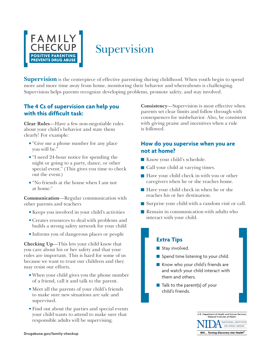

## Supervision

**Supervision** is the centerpiece of effective parenting during childhood. When youth begin to spend more and more time away from home, monitoring their behavior and whereabouts is challenging. Supervision helps parents recognize developing problems, promote safety, and stay involved.

### **The 4 Cs of supervision can help you with this difficult task:**

**Clear Rules**—Have a few non-negotiable rules about your child's behavior and state them clearly! For example:

- "Give me a phone number for any place you will be."
- "I need 24-hour notice for spending the night or going to a party, dance, or other special event." (This gives you time to check out the event.)
- "No friends at the house when I am not at home."

**Communication**—Regular communication with other parents and teachers

- Keeps you involved in your child's activities
- **Creates resources to deal with problems and** builds a strong safety network for your child
- Informs you of dangerous places or people

**Checking Up**—This lets your child know that you care about his or her safety and that your rules are important. This is hard for some of us because we want to trust our children and they may resist our efforts.

- When your child gives you the phone number of a friend, call it and talk to the parent.
- Meet all the parents of your child's friends to make sure new situations are safe and supervised.
- Find out about the parties and special events your child wants to attend to make sure that responsible adults will be supervising.

**Consistency**—Supervision is most effective when parents set clear limits and follow through with consequences for misbehavior. Also, be consistent with giving praise and incentives when a rule is followed.

### **How do you supervise when you are not at home?**

- Know your child's schedule.
- Call your child at varying times.
- $\blacksquare$  Have your child check in with you or other caregivers when he or she reaches home.
- Have your child check in when he or she reaches his or her destination.
- Surprise your child with a random visit or call.
- Remain in communication with adults who interact with your child.

## **Extra Tips**

- Stay involved.
- Spend time listening to your child.
- Know who your child's friends are and watch your child interact with them and others.
- $\blacksquare$  Talk to the parent(s) of your child's friends.